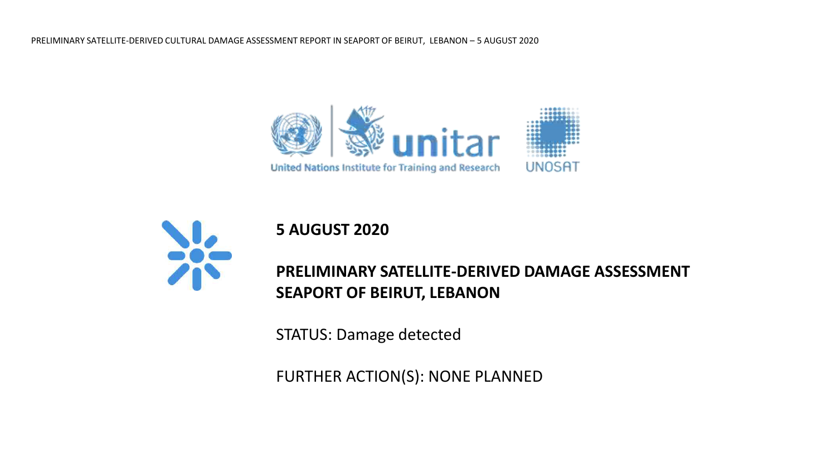



**5 AUGUST 2020**

# **PRELIMINARY SATELLITE-DERIVED DAMAGE ASSESSMENT SEAPORT OF BEIRUT, LEBANON**

STATUS: Damage detected

FURTHER ACTION(S): NONE PLANNED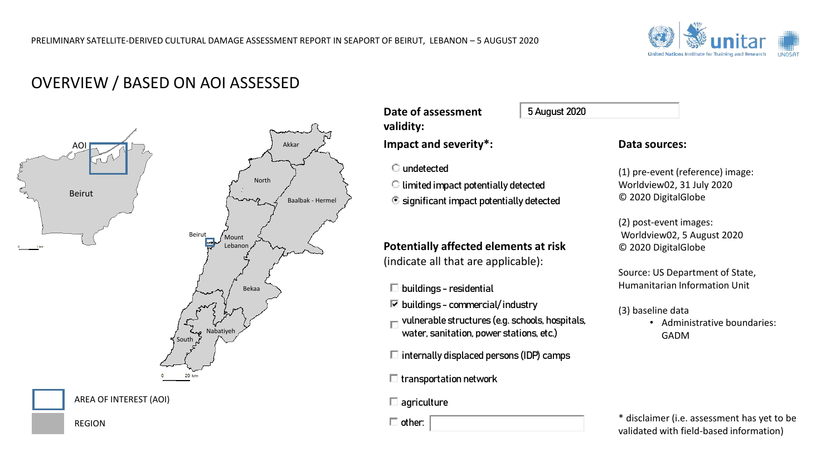

# OVERVIEW / BASED ON AOI ASSESSED



AREA OF INTEREST (AOI)

REGION

**Date of assessment validity:**

**Impact and severity\*:** 

**•** significant impact potentially detected

# **Potentially affected elements at risk**  (indicate all that are applicable): undetected<br>
limited impact potentially detected<br>
significant impact potentially detected<br>
e**ntially affected elements at ris**<br>
licate all that are applicable):<br>
buildings – residential<br>
buildings – commercial/industry<br>
vul e of assessment<br>dity:<br>dity:<br>act and severity\*:<br>undetected<br>limited impact potentially detected<br>significant impact potentially detected<br>entially affected elements at risk<br>licate all that are applicable):<br>buildings – resident

 $\square$  buildings - residential

 $\triangledown$  buildings - commercial/industry

water, sanitation, power stations, etc.)  $\Box$  vulnerable structures (e.g. schools, hospitals,

 $\square$  internally displaced persons (IDP) camps

 $\Box$  transportation network

 $\square$  agriculture

### **Data sources:**

(1) pre-event (reference) image: Worldview02, 31 July 2020 © 2020 DigitalGlobe

(2) post-event images: Worldview02, 5 August 2020 © 2020 DigitalGlobe

Source: US Department of State, Humanitarian Information Unit

(3) baseline data

• Administrative boundaries: GADM

\* disclaimer (i.e. assessment has yet to be validated with field-based information)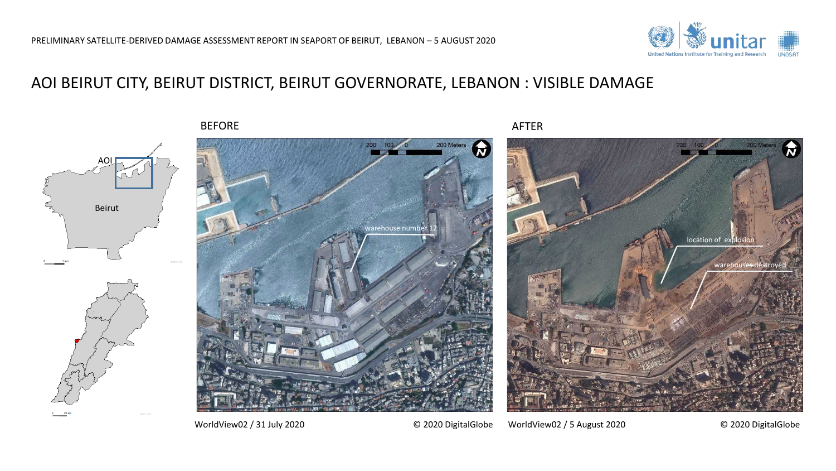# AOI BEIRUT CITY, BEIRUT DISTRICT, BEIRUT GOVERNORATE, LEBANON : VISIBLE DAMAGE

BEFORE AFTER

Beirut

AO